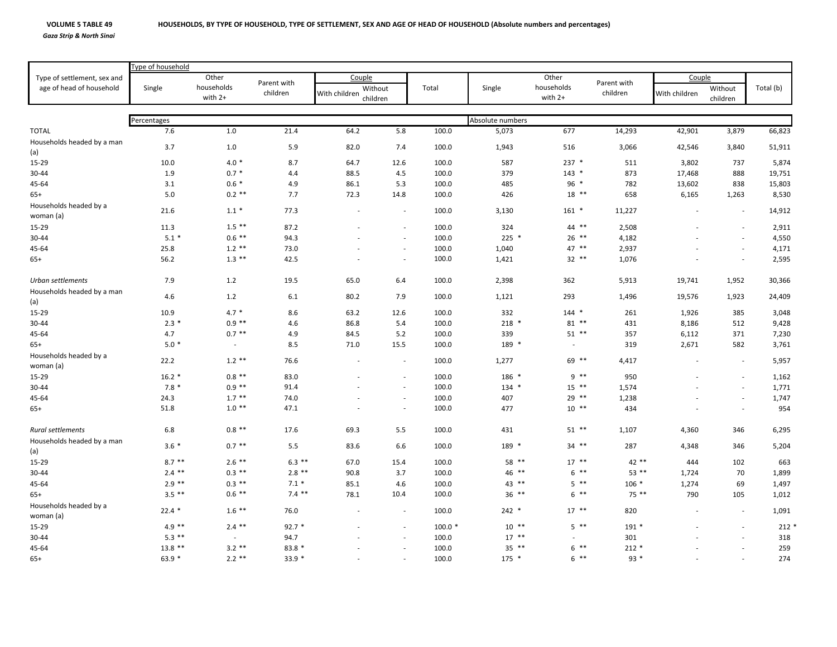## **VOLUME 5**

*Gaza Strip & North Sinai*

|                                                         | Type of household |                                |                         |               |                          |          |                  |                         |                         |                          |                          |           |  |
|---------------------------------------------------------|-------------------|--------------------------------|-------------------------|---------------|--------------------------|----------|------------------|-------------------------|-------------------------|--------------------------|--------------------------|-----------|--|
| Type of settlement, sex and<br>age of head of household |                   | Other<br>households<br>with 2+ | Parent with<br>children | Couple        |                          |          |                  | Other                   |                         | Couple                   |                          |           |  |
|                                                         | Single            |                                |                         | With children | Without<br>children      | Total    | Single           | households<br>with $2+$ | Parent with<br>children | With children            | Without<br>children      | Total (b) |  |
|                                                         |                   |                                |                         |               |                          |          |                  |                         |                         |                          |                          |           |  |
|                                                         | Percentages       |                                |                         |               |                          |          | Absolute numbers |                         |                         |                          |                          |           |  |
| <b>TOTAL</b>                                            | 7.6               | $1.0\,$                        | 21.4                    | 64.2          | 5.8                      | 100.0    | 5,073            | 677                     | 14,293                  | 42,901                   | 3,879                    | 66,823    |  |
| Households headed by a man                              | 3.7               | 1.0                            | 5.9                     | 82.0          | 7.4                      | 100.0    | 1,943            | 516                     | 3,066                   | 42,546                   | 3,840                    | 51,911    |  |
| (a)                                                     |                   |                                |                         |               |                          |          |                  |                         |                         |                          |                          |           |  |
| 15-29                                                   | 10.0              | $4.0*$                         | 8.7                     | 64.7          | 12.6                     | 100.0    | 587              | $237$ *                 | 511                     | 3,802                    | 737                      | 5,874     |  |
| 30-44                                                   | 1.9               | $0.7 *$                        | 4.4                     | 88.5          | 4.5                      | 100.0    | 379              | $143$ *                 | 873                     | 17,468                   | 888                      | 19,751    |  |
| 45-64                                                   | 3.1               | $0.6 *$                        | 4.9                     | 86.1          | 5.3                      | 100.0    | 485              | 96 *                    | 782                     | 13,602                   | 838                      | 15,803    |  |
| $65+$                                                   | 5.0               | $0.2$ **                       | 7.7                     | 72.3          | 14.8                     | 100.0    | 426              | $18$ **                 | 658                     | 6,165                    | 1,263                    | 8,530     |  |
| Households headed by a<br>woman (a)                     | 21.6              | $1.1*$                         | 77.3                    |               | $\overline{\phantom{a}}$ | 100.0    | 3,130            | $161$ *                 | 11,227                  | $\overline{\phantom{a}}$ | $\sim$                   | 14,912    |  |
| 15-29                                                   | 11.3              | $1.5$ **                       | 87.2                    |               |                          | 100.0    | 324              | 44 **                   | 2,508                   |                          |                          | 2,911     |  |
| 30-44                                                   | $5.1*$            | $0.6$ **                       | 94.3                    |               | $\sim$                   | 100.0    | $225$ *          | $26$ **                 | 4,182                   |                          | $\overline{a}$           | 4,550     |  |
| 45-64                                                   | 25.8              | $1.2$ **                       | 73.0                    |               | $\overline{\phantom{a}}$ | 100.0    | 1,040            | 47 **                   | 2,937                   |                          | $\overline{\phantom{a}}$ | 4,171     |  |
| $65+$                                                   | 56.2              | $1.3***$                       | 42.5                    |               | $\sim$                   | 100.0    | 1,421            | 32 **                   | 1,076                   |                          | $\overline{\phantom{a}}$ | 2,595     |  |
| Urban settlements                                       | 7.9               | 1.2                            | 19.5                    | 65.0          | 6.4                      | 100.0    | 2,398            | 362                     | 5,913                   | 19,741                   | 1,952                    | 30,366    |  |
| Households headed by a man<br>(a)                       | $4.6\,$           | 1.2                            | 6.1                     | 80.2          | 7.9                      | 100.0    | 1,121            | 293                     | 1,496                   | 19,576                   | 1,923                    | 24,409    |  |
| 15-29                                                   | 10.9              | $4.7*$                         | 8.6                     | 63.2          | 12.6                     | 100.0    | 332              | $144$ *                 | 261                     | 1,926                    | 385                      | 3,048     |  |
| 30-44                                                   | $2.3*$            | $0.9**$                        | 4.6                     | 86.8          | 5.4                      | 100.0    | $218$ *          | $81**$                  | 431                     | 8,186                    | 512                      | 9,428     |  |
| 45-64                                                   | 4.7               | $0.7$ **                       | 4.9                     | 84.5          | 5.2                      | 100.0    | 339              | $51$ **                 | 357                     | 6,112                    | 371                      | 7,230     |  |
| $65+$                                                   | $5.0*$            | $\sim$                         | 8.5                     | 71.0          | 15.5                     | 100.0    | 189 *            | $\sim$                  | 319                     | 2,671                    | 582                      | 3,761     |  |
| Households headed by a<br>woman (a)                     | 22.2              | $1.2$ **                       | 76.6                    |               | $\overline{\phantom{a}}$ | 100.0    | 1,277            | 69 **                   | 4,417                   |                          | $\overline{\phantom{a}}$ | 5,957     |  |
| 15-29                                                   | $16.2*$           | $0.8$ **                       | 83.0                    |               | $\sim$                   | 100.0    | 186 *            | $9***$                  | 950                     |                          | $\overline{\phantom{a}}$ | 1,162     |  |
| 30-44                                                   | $7.8*$            | $0.9***$                       | 91.4                    |               | $\sim$                   | 100.0    | $134$ *          | $15$ **                 | 1,574                   |                          | $\overline{\phantom{a}}$ | 1,771     |  |
| 45-64                                                   | 24.3              | $1.7***$                       | 74.0                    |               | $\sim$                   | 100.0    | 407              | 29 **                   | 1,238                   |                          | $\overline{\phantom{a}}$ | 1,747     |  |
| $65+$                                                   | 51.8              | $1.0**$                        | 47.1                    |               | $\sim$                   | 100.0    | 477              | $10***$                 | 434                     |                          | $\overline{\phantom{a}}$ | 954       |  |
| Rural settlements                                       | 6.8               | $0.8$ **                       | 17.6                    | 69.3          | 5.5                      | 100.0    | 431              | $51$ **                 | 1,107                   | 4,360                    | 346                      | 6,295     |  |
| Households headed by a man<br>(a)                       | $3.6*$            | $0.7$ **                       | 5.5                     | 83.6          | 6.6                      | 100.0    | 189 *            | 34 **                   | 287                     | 4,348                    | 346                      | 5,204     |  |
|                                                         | $8.7***$          | $2.6$ **                       | $6.3$ **                | 67.0          |                          | 100.0    | 58 **            | $17$ **                 | 42 **                   | 444                      |                          | 663       |  |
| 15-29                                                   | $2.4$ **          | $0.3$ **                       | $2.8$ **                | 90.8          | 15.4<br>3.7              | 100.0    | $46$ **          | $6***$                  | $53$ **                 |                          | 102<br>70                |           |  |
| 30-44                                                   |                   | $0.3$ **                       | $7.1*$                  |               |                          |          |                  | $5$ **                  | $106 *$                 | 1,724                    |                          | 1,899     |  |
| 45-64                                                   | $2.9$ **          | $0.6$ **                       | $7.4$ **                | 85.1          | 4.6                      | 100.0    | 43 **            |                         |                         | 1,274                    | 69                       | 1,497     |  |
| $65+$                                                   | $3.5***$          |                                |                         | 78.1          | 10.4                     | 100.0    | $36$ **          | $6 *$                   | 75 **                   | 790                      | 105                      | 1,012     |  |
| Households headed by a<br>woman (a)                     | $22.4*$           | $1.6***$                       | 76.0                    |               | $\overline{\phantom{a}}$ | 100.0    | $242$ *          | $17$ **                 | 820                     |                          | $\sim$                   | 1,091     |  |
| 15-29                                                   | $4.9**$           | $2.4$ **                       | $92.7*$                 |               |                          | $100.0*$ | $10***$          | $5$ **                  | $191*$                  |                          | $\overline{\phantom{a}}$ | $212*$    |  |
| 30-44                                                   | $5.3$ **          | $\sim$                         | 94.7                    |               |                          | 100.0    | $17***$          |                         | 301                     |                          |                          | 318       |  |
| 45-64                                                   | $13.8$ **         | $3.2$ **                       | $83.8*$                 |               |                          | 100.0    | 35 **            | $6***$                  | $212*$                  |                          |                          | 259       |  |
| $65+$                                                   | $63.9*$           | $2.2$ **                       | 33.9 *                  |               |                          | 100.0    | $175$ *          | $6$ **                  | $93*$                   |                          |                          | 274       |  |